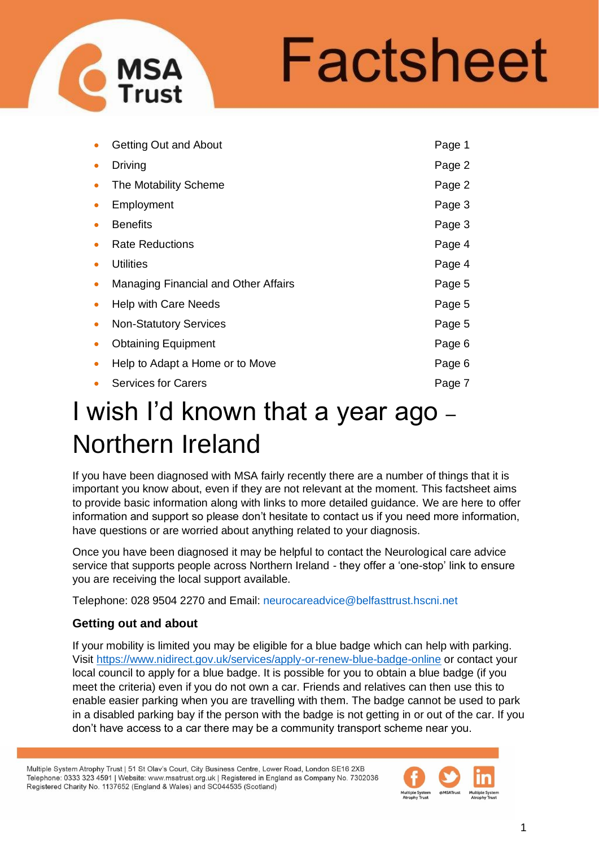# Factsheet

|           | <b>Getting Out and About</b>         | Page 1 |
|-----------|--------------------------------------|--------|
| $\bullet$ | Driving                              | Page 2 |
|           | The Motability Scheme                | Page 2 |
|           | Employment                           | Page 3 |
|           | <b>Benefits</b>                      | Page 3 |
|           | <b>Rate Reductions</b>               | Page 4 |
|           | <b>Utilities</b>                     | Page 4 |
|           | Managing Financial and Other Affairs | Page 5 |
|           | Help with Care Needs                 | Page 5 |
| $\bullet$ | <b>Non-Statutory Services</b>        | Page 5 |
|           | <b>Obtaining Equipment</b>           | Page 6 |
|           | Help to Adapt a Home or to Move      | Page 6 |
|           | <b>Services for Carers</b>           | Page 7 |

## I wish I'd known that a year ago – Northern Ireland

If you have been diagnosed with MSA fairly recently there are a number of things that it is important you know about, even if they are not relevant at the moment. This factsheet aims to provide basic information along with links to more detailed guidance. We are here to offer information and support so please don't hesitate to contact us if you need more information, have questions or are worried about anything related to your diagnosis.

Once you have been diagnosed it may be helpful to contact the Neurological care advice service that supports people across Northern Ireland - they offer a 'one-stop' link to ensure you are receiving the local support available.

Telephone: 028 9504 2270 and Email: [neurocareadvice@belfasttrust.hscni.net](mailto:neurocareadvice@belfasttrust.hscni.net)

### **Getting out and about**

If your mobility is limited you may be eligible for a blue badge which can help with parking. Visit<https://www.nidirect.gov.uk/services/apply-or-renew-blue-badge-online> or contact your local council to apply for a blue badge. It is possible for you to obtain a blue badge (if you meet the criteria) even if you do not own a car. Friends and relatives can then use this to enable easier parking when you are travelling with them. The badge cannot be used to park in a disabled parking bay if the person with the badge is not getting in or out of the car. If you don't have access to a car there may be a community transport scheme near you.

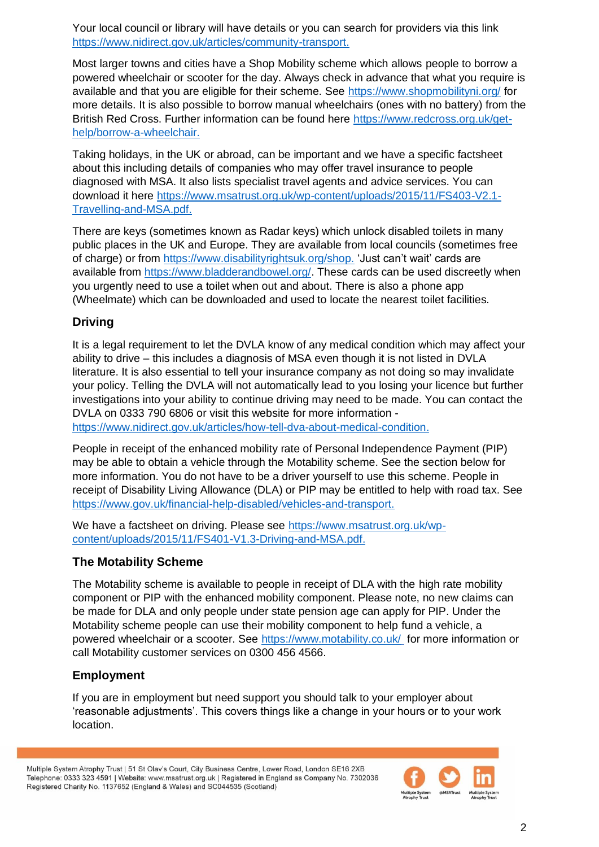Your local council or library will have details or you can search for providers via this link [https://www.nidirect.gov.uk/articles/community-transport.](https://www.nidirect.gov.uk/articles/community-transport)

Most larger towns and cities have a Shop Mobility scheme which allows people to borrow a powered wheelchair or scooter for the day. Always check in advance that what you require is available and that you are eligible for their scheme. See<https://www.shopmobilityni.org/> for more details. It is also possible to borrow manual wheelchairs (ones with no battery) from the British Red Cross. Further information can be found here [https://www.redcross.org.uk/get](https://www.redcross.org.uk/get-help/borrow-a-wheelchair)[help/borrow-a-wheelchair.](https://www.redcross.org.uk/get-help/borrow-a-wheelchair)

Taking holidays, in the UK or abroad, can be important and we have a specific factsheet about this including details of companies who may offer travel insurance to people diagnosed with MSA. It also lists specialist travel agents and advice services. You can download it here [https://www.msatrust.org.uk/wp-content/uploads/2015/11/FS403-V2.1-](https://www.msatrust.org.uk/wp-content/uploads/2015/11/FS403-V2.1-Travelling-and-MSA.pdf) [Travelling-and-MSA.pdf.](https://www.msatrust.org.uk/wp-content/uploads/2015/11/FS403-V2.1-Travelling-and-MSA.pdf)

There are keys (sometimes known as Radar keys) which unlock disabled toilets in many public places in the UK and Europe. They are available from local councils (sometimes free of charge) or from [https://www.disabilityrightsuk.org/shop.](https://www.disabilityrightsuk.org/shop) 'Just can't wait' cards are available from [https://www.bladderandbowel.org/.](https://www.bladderandbowel.org/) These cards can be used discreetly when you urgently need to use a toilet when out and about. There is also a phone app (Wheelmate) which can be downloaded and used to locate the nearest toilet facilities.

#### **Driving**

It is a legal requirement to let the DVLA know of any medical condition which may affect your ability to drive – this includes a diagnosis of MSA even though it is not listed in DVLA literature. It is also essential to tell your insurance company as not doing so may invalidate your policy. Telling the DVLA will not automatically lead to you losing your licence but further investigations into your ability to continue driving may need to be made. You can contact the DVLA on 0333 790 6806 or visit this website for more information [https://www.nidirect.gov.uk/articles/how-tell-dva-about-medical-condition.](https://www.nidirect.gov.uk/articles/how-tell-dva-about-medical-condition)

People in receipt of the enhanced mobility rate of Personal Independence Payment (PIP) may be able to obtain a vehicle through the Motability scheme. See the section below for more information. You do not have to be a driver yourself to use this scheme. People in receipt of Disability Living Allowance (DLA) or PIP may be entitled to help with road tax. See [https://www.gov.uk/financial-help-disabled/vehicles-and-transport.](https://www.gov.uk/financial-help-disabled/vehicles-and-transport)

We have a factsheet on driving. Please see [https://www.msatrust.org.uk/wp](https://www.msatrust.org.uk/wp-content/uploads/2015/11/FS401-V1.3-Driving-and-MSA.pdf)[content/uploads/2015/11/FS401-V1.3-Driving-and-MSA.pdf.](https://www.msatrust.org.uk/wp-content/uploads/2015/11/FS401-V1.3-Driving-and-MSA.pdf)

#### **The Motability Scheme**

The Motability scheme is available to people in receipt of DLA with the high rate mobility component or PIP with the enhanced mobility component. Please note, no new claims can be made for DLA and only people under state pension age can apply for PIP. Under the Motability scheme people can use their mobility component to help fund a vehicle, a powered wheelchair or a scooter. See<https://www.motability.co.uk/> for more information or call Motability customer services on 0300 456 4566.

#### **Employment**

If you are in employment but need support you should talk to your employer about 'reasonable adjustments'. This covers things like a change in your hours or to your work location.

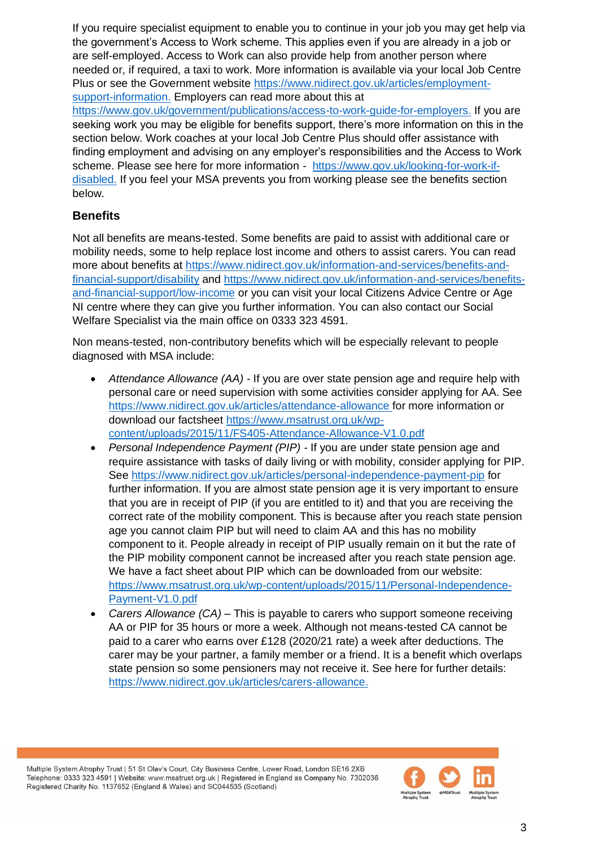If you require specialist equipment to enable you to continue in your job you may get help via the government's Access to Work scheme. This applies even if you are already in a job or are self-employed. Access to Work can also provide help from another person where needed or, if required, a taxi to work. More information is available via your local Job Centre Plus or see the Government website [https://www.nidirect.gov.uk/articles/employment](https://www.nidirect.gov.uk/articles/employment-support-information)[support-information.](https://www.nidirect.gov.uk/articles/employment-support-information) Employers can read more about this at

[https://www.gov.uk/government/publications/access-to-work-guide-for-employers.](https://www.gov.uk/government/publications/access-to-work-guide-for-employers) If you are seeking work you may be eligible for benefits support, there's more information on this in the section below. Work coaches at your local Job Centre Plus should offer assistance with finding employment and advising on any employer's responsibilities and the Access to Work scheme. Please see here for more information - [https://www.gov.uk/looking-for-work-if](https://www.gov.uk/looking-for-work-if-disabled)[disabled.](https://www.gov.uk/looking-for-work-if-disabled) If you feel your MSA prevents you from working please see the benefits section below.

#### **Benefits**

Not all benefits are means-tested. Some benefits are paid to assist with additional care or mobility needs, some to help replace lost income and others to assist carers. You can read more about benefits at [https://www.nidirect.gov.uk/information-and-services/benefits-and](https://www.nidirect.gov.uk/information-and-services/benefits-and-financial-support/disability)[financial-support/disability](https://www.nidirect.gov.uk/information-and-services/benefits-and-financial-support/disability) and [https://www.nidirect.gov.uk/information-and-services/benefits](https://www.nidirect.gov.uk/information-and-services/benefits-and-financial-support/low-income)[and-financial-support/low-income](https://www.nidirect.gov.uk/information-and-services/benefits-and-financial-support/low-income) or you can visit your local Citizens Advice Centre or Age NI centre where they can give you further information. You can also contact our Social Welfare Specialist via the main office on 0333 323 4591.

Non means-tested, non-contributory benefits which will be especially relevant to people diagnosed with MSA include:

- *Attendance Allowance (AA)* If you are over state pension age and require help with personal care or need supervision with some activities consider applying for AA. See <https://www.nidirect.gov.uk/articles/attendance-allowance> for more information or download our factsheet [https://www.msatrust.org.uk/wp](https://www.msatrust.org.uk/wp-content/uploads/2015/11/FS405-Attendance-Allowance-V1.0.pdf)[content/uploads/2015/11/FS405-Attendance-Allowance-V1.0.pdf](https://www.msatrust.org.uk/wp-content/uploads/2015/11/FS405-Attendance-Allowance-V1.0.pdf)
- *Personal Independence Payment (PIP)*  If you are under state pension age and require assistance with tasks of daily living or with mobility, consider applying for PIP. See<https://www.nidirect.gov.uk/articles/personal-independence-payment-pip> for further information. If you are almost state pension age it is very important to ensure that you are in receipt of PIP (if you are entitled to it) and that you are receiving the correct rate of the mobility component. This is because after you reach state pension age you cannot claim PIP but will need to claim AA and this has no mobility component to it. People already in receipt of PIP usually remain on it but the rate of the PIP mobility component cannot be increased after you reach state pension age. We have a fact sheet about PIP which can be downloaded from our website: [https://www.msatrust.org.uk/wp-content/uploads/2015/11/Personal-Independence-](https://www.msatrust.org.uk/wp-content/uploads/2015/11/Personal-Independence-Payment-V1.0.pdf)[Payment-V1.0.pdf](https://www.msatrust.org.uk/wp-content/uploads/2015/11/Personal-Independence-Payment-V1.0.pdf)
- *Carers Allowance (CA)* This is payable to carers who support someone receiving AA or PIP for 35 hours or more a week. Although not means-tested CA cannot be paid to a carer who earns over £128 (2020/21 rate) a week after deductions. The carer may be your partner, a family member or a friend. It is a benefit which overlaps state pension so some pensioners may not receive it. See here for further details: [https://www.nidirect.gov.uk/articles/carers-allowance.](https://www.nidirect.gov.uk/articles/carers-allowance)

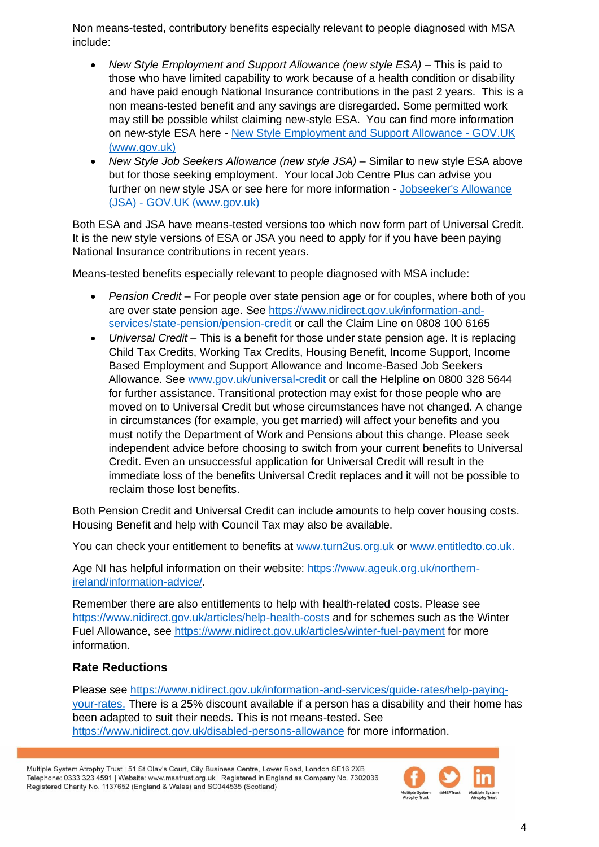Non means-tested, contributory benefits especially relevant to people diagnosed with MSA include:

- *New Style Employment and Support Allowance (new style ESA)* This is paid to those who have limited capability to work because of a health condition or disability and have paid enough National Insurance contributions in the past 2 years. This is a non means-tested benefit and any savings are disregarded. Some permitted work may still be possible whilst claiming new-style ESA. You can find more information on new-style ESA here *-* New Style Employment and Support Allowance - GOV.UK (www.gov.uk)
- *New Style Job Seekers Allowance (new style JSA)* Similar to new style ESA above but for those seeking employment. Your local Job Centre Plus can advise you further on new style JSA or see here for more information - [Jobseeker's Allowance](https://www.gov.uk/jobseekers-allowance)  (JSA) - [GOV.UK \(www.gov.uk\)](https://www.gov.uk/jobseekers-allowance)

Both ESA and JSA have means-tested versions too which now form part of Universal Credit. It is the new style versions of ESA or JSA you need to apply for if you have been paying National Insurance contributions in recent years.

Means-tested benefits especially relevant to people diagnosed with MSA include:

- *Pension Credit –* For people over state pension age or for couples, where both of you are over state pension age. See [https://www.nidirect.gov.uk/information-and](https://www.nidirect.gov.uk/information-and-services/state-pension/pension-credit)[services/state-pension/pension-credit](https://www.nidirect.gov.uk/information-and-services/state-pension/pension-credit) or call the Claim Line on 0808 100 6165
- *Universal Credit* This is a benefit for those under state pension age. It is replacing Child Tax Credits, Working Tax Credits, Housing Benefit, Income Support, Income Based Employment and Support Allowance and Income-Based Job Seekers Allowance. See [www.gov.uk/universal-credit](http://www.gov.uk/universal-credit) or call the Helpline on 0800 328 5644 for further assistance. Transitional protection may exist for those people who are moved on to Universal Credit but whose circumstances have not changed. A change in circumstances (for example, you get married) will affect your benefits and you must notify the Department of Work and Pensions about this change. Please seek independent advice before choosing to switch from your current benefits to Universal Credit. Even an unsuccessful application for Universal Credit will result in the immediate loss of the benefits Universal Credit replaces and it will not be possible to reclaim those lost benefits.

Both Pension Credit and Universal Credit can include amounts to help cover housing costs. Housing Benefit and help with Council Tax may also be available.

You can check your entitlement to benefits at [www.turn2us.org.uk](http://www.turn2us.org.uk/) or [www.entitledto.co.uk.](http://www.entitledto.co.uk/)

Age NI has helpful information on their website: [https://www.ageuk.org.uk/northern](https://www.ageuk.org.uk/northern-ireland/information-advice/)[ireland/information-advice/.](https://www.ageuk.org.uk/northern-ireland/information-advice/)

Remember there are also entitlements to help with health-related costs. Please see <https://www.nidirect.gov.uk/articles/help-health-costs> and for schemes such as the Winter Fuel Allowance, see<https://www.nidirect.gov.uk/articles/winter-fuel-payment> for more information.

#### **Rate Reductions**

Please see [https://www.nidirect.gov.uk/information-and-services/guide-rates/help-paying](https://www.nidirect.gov.uk/information-and-services/guide-rates/help-paying-your-rates)[your-rates.](https://www.nidirect.gov.uk/information-and-services/guide-rates/help-paying-your-rates) There is a 25% discount available if a person has a disability and their home has been adapted to suit their needs. This is not means-tested. See <https://www.nidirect.gov.uk/disabled-persons-allowance> for more information.

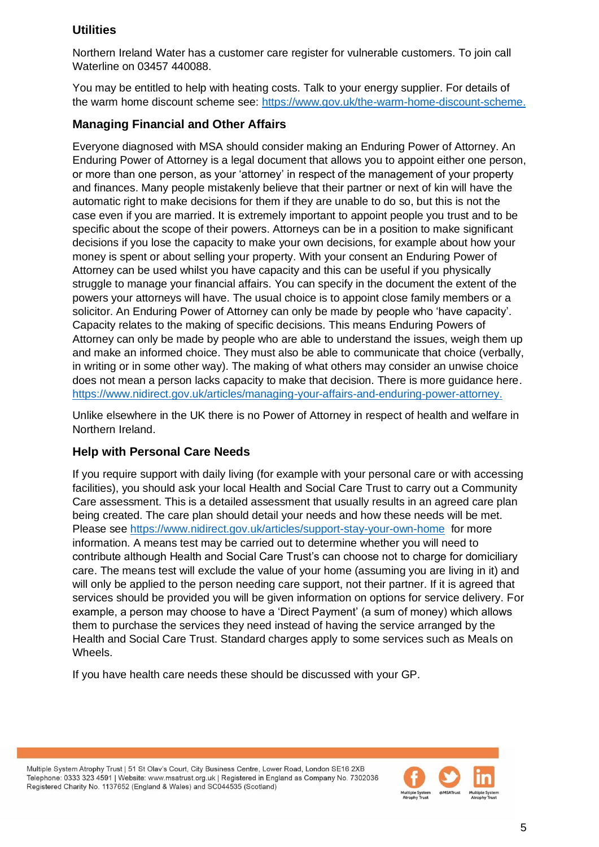#### **Utilities**

Northern Ireland Water has a customer care register for vulnerable customers. To join call Waterline on 03457 440088.

You may be entitled to help with heating costs. Talk to your energy supplier. For details of the warm home discount scheme see: [https://www.gov.uk/the-warm-home-discount-scheme.](https://www.gov.uk/the-warm-home-discount-scheme)

#### **Managing Financial and Other Affairs**

Everyone diagnosed with MSA should consider making an Enduring Power of Attorney. An Enduring Power of Attorney is a legal document that allows you to appoint either one person, or more than one person, as your 'attorney' in respect of the management of your property and finances. Many people mistakenly believe that their partner or next of kin will have the automatic right to make decisions for them if they are unable to do so, but this is not the case even if you are married. It is extremely important to appoint people you trust and to be specific about the scope of their powers. Attorneys can be in a position to make significant decisions if you lose the capacity to make your own decisions, for example about how your money is spent or about selling your property. With your consent an Enduring Power of Attorney can be used whilst you have capacity and this can be useful if you physically struggle to manage your financial affairs. You can specify in the document the extent of the powers your attorneys will have. The usual choice is to appoint close family members or a solicitor. An Enduring Power of Attorney can only be made by people who 'have capacity'. Capacity relates to the making of specific decisions. This means Enduring Powers of Attorney can only be made by people who are able to understand the issues, weigh them up and make an informed choice. They must also be able to communicate that choice (verbally, in writing or in some other way). The making of what others may consider an unwise choice does not mean a person lacks capacity to make that decision. There is more guidance here. [https://www.nidirect.gov.uk/articles/managing-your-affairs-and-enduring-power-attorney.](https://www.nidirect.gov.uk/articles/managing-your-affairs-and-enduring-power-attorney)

Unlike elsewhere in the UK there is no Power of Attorney in respect of health and welfare in Northern Ireland.

#### **Help with Personal Care Needs**

If you require support with daily living (for example with your personal care or with accessing facilities), you should ask your local Health and Social Care Trust to carry out a Community Care assessment. This is a detailed assessment that usually results in an agreed care plan being created. The care plan should detail your needs and how these needs will be met. Please see<https://www.nidirect.gov.uk/articles/support-stay-your-own-home>for more information. A means test may be carried out to determine whether you will need to contribute although Health and Social Care Trust's can choose not to charge for domiciliary care. The means test will exclude the value of your home (assuming you are living in it) and will only be applied to the person needing care support, not their partner. If it is agreed that services should be provided you will be given information on options for service delivery. For example, a person may choose to have a 'Direct Payment' (a sum of money) which allows them to purchase the services they need instead of having the service arranged by the Health and Social Care Trust. Standard charges apply to some services such as Meals on Wheels.

If you have health care needs these should be discussed with your GP.

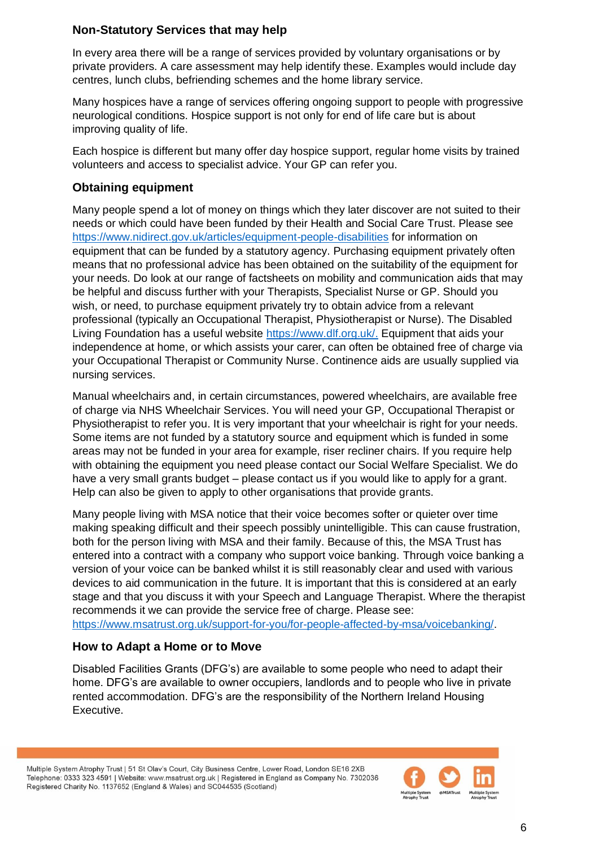#### **Non-Statutory Services that may help**

In every area there will be a range of services provided by voluntary organisations or by private providers. A care assessment may help identify these. Examples would include day centres, lunch clubs, befriending schemes and the home library service.

Many hospices have a range of services offering ongoing support to people with progressive neurological conditions. Hospice support is not only for end of life care but is about improving quality of life.

Each hospice is different but many offer day hospice support, regular home visits by trained volunteers and access to specialist advice. Your GP can refer you.

#### **Obtaining equipment**

Many people spend a lot of money on things which they later discover are not suited to their needs or which could have been funded by their Health and Social Care Trust. Please see <https://www.nidirect.gov.uk/articles/equipment-people-disabilities> for information on equipment that can be funded by a statutory agency. Purchasing equipment privately often means that no professional advice has been obtained on the suitability of the equipment for your needs. Do look at our range of factsheets on mobility and communication aids that may be helpful and discuss further with your Therapists, Specialist Nurse or GP. Should you wish, or need, to purchase equipment privately try to obtain advice from a relevant professional (typically an Occupational Therapist, Physiotherapist or Nurse). The Disabled Living Foundation has a useful website [https://www.dlf.org.uk/.](https://www.dlf.org.uk/) Equipment that aids your independence at home, or which assists your carer, can often be obtained free of charge via your Occupational Therapist or Community Nurse. Continence aids are usually supplied via nursing services.

Manual wheelchairs and, in certain circumstances, powered wheelchairs, are available free of charge via NHS Wheelchair Services. You will need your GP, Occupational Therapist or Physiotherapist to refer you. It is very important that your wheelchair is right for your needs. Some items are not funded by a statutory source and equipment which is funded in some areas may not be funded in your area for example, riser recliner chairs. If you require help with obtaining the equipment you need please contact our Social Welfare Specialist. We do have a very small grants budget – please contact us if you would like to apply for a grant. Help can also be given to apply to other organisations that provide grants.

Many people living with MSA notice that their voice becomes softer or quieter over time making speaking difficult and their speech possibly unintelligible. This can cause frustration, both for the person living with MSA and their family. Because of this, the MSA Trust has entered into a contract with a company who support voice banking. Through voice banking a version of your voice can be banked whilst it is still reasonably clear and used with various devices to aid communication in the future. It is important that this is considered at an early stage and that you discuss it with your Speech and Language Therapist. Where the therapist recommends it we can provide the service free of charge. Please see:

[https://www.msatrust.org.uk/support-for-you/for-people-affected-by-msa/voicebanking/.](https://www.msatrust.org.uk/support-for-you/for-people-affected-by-msa/voicebanking/)

#### **How to Adapt a Home or to Move**

Disabled Facilities Grants (DFG's) are available to some people who need to adapt their home. DFG's are available to owner occupiers, landlords and to people who live in private rented accommodation. DFG's are the responsibility of the Northern Ireland Housing Executive.

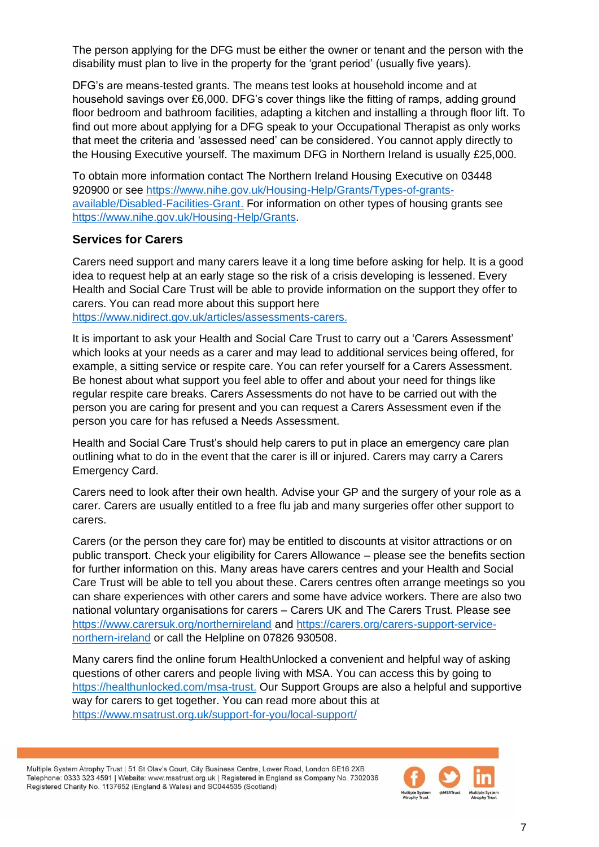The person applying for the DFG must be either the owner or tenant and the person with the disability must plan to live in the property for the 'grant period' (usually five years).

DFG's are means-tested grants. The means test looks at household income and at household savings over £6,000. DFG's cover things like the fitting of ramps, adding ground floor bedroom and bathroom facilities, adapting a kitchen and installing a through floor lift. To find out more about applying for a DFG speak to your Occupational Therapist as only works that meet the criteria and 'assessed need' can be considered. You cannot apply directly to the Housing Executive yourself. The maximum DFG in Northern Ireland is usually £25,000.

To obtain more information contact The Northern Ireland Housing Executive on 03448 920900 or see [https://www.nihe.gov.uk/Housing-Help/Grants/Types-of-grants](https://www.nihe.gov.uk/Housing-Help/Grants/Types-of-grants-available/Disabled-Facilities-Grant)[available/Disabled-Facilities-Grant.](https://www.nihe.gov.uk/Housing-Help/Grants/Types-of-grants-available/Disabled-Facilities-Grant) For information on other types of housing grants see [https://www.nihe.gov.uk/Housing-Help/Grants.](https://www.nihe.gov.uk/Housing-Help/Grants)

#### **Services for Carers**

Carers need support and many carers leave it a long time before asking for help. It is a good idea to request help at an early stage so the risk of a crisis developing is lessened. Every Health and Social Care Trust will be able to provide information on the support they offer to carers. You can read more about this support here

[https://www.nidirect.gov.uk/articles/assessments-carers.](https://www.nidirect.gov.uk/articles/assessments-carers)

It is important to ask your Health and Social Care Trust to carry out a 'Carers Assessment' which looks at your needs as a carer and may lead to additional services being offered, for example, a sitting service or respite care. You can refer yourself for a Carers Assessment. Be honest about what support you feel able to offer and about your need for things like regular respite care breaks. Carers Assessments do not have to be carried out with the person you are caring for present and you can request a Carers Assessment even if the person you care for has refused a Needs Assessment.

Health and Social Care Trust's should help carers to put in place an emergency care plan outlining what to do in the event that the carer is ill or injured. Carers may carry a Carers Emergency Card.

Carers need to look after their own health. Advise your GP and the surgery of your role as a carer. Carers are usually entitled to a free flu jab and many surgeries offer other support to carers.

Carers (or the person they care for) may be entitled to discounts at visitor attractions or on public transport. Check your eligibility for Carers Allowance – please see the benefits section for further information on this. Many areas have carers centres and your Health and Social Care Trust will be able to tell you about these. Carers centres often arrange meetings so you can share experiences with other carers and some have advice workers. There are also two national voluntary organisations for carers – Carers UK and The Carers Trust. Please see <https://www.carersuk.org/northernireland> and [https://carers.org/carers-support-service](https://carers.org/carers-support-service-northern-ireland)[northern-ireland](https://carers.org/carers-support-service-northern-ireland) or call the Helpline on 07826 930508.

Many carers find the online forum HealthUnlocked a convenient and helpful way of asking questions of other carers and people living with MSA. You can access this by going to [https://healthunlocked.com/msa-trust.](https://healthunlocked.com/msa-trust) Our Support Groups are also a helpful and supportive way for carers to get together. You can read more about this at <https://www.msatrust.org.uk/support-for-you/local-support/>

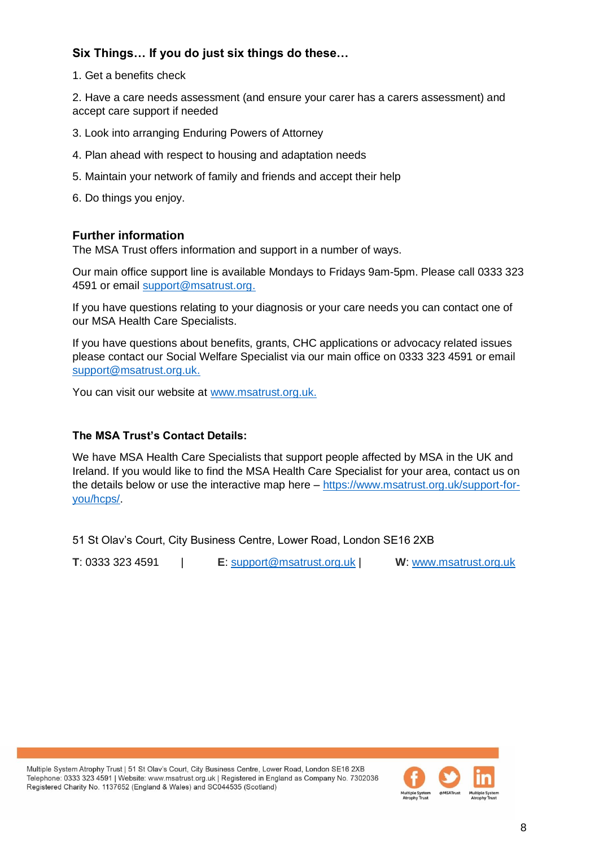#### **Six Things… If you do just six things do these…**

1. Get a benefits check

2. Have a care needs assessment (and ensure your carer has a carers assessment) and accept care support if needed

- 3. Look into arranging Enduring Powers of Attorney
- 4. Plan ahead with respect to housing and adaptation needs
- 5. Maintain your network of family and friends and accept their help
- 6. Do things you enjoy.

#### **Further information**

The MSA Trust offers information and support in a number of ways.

Our main office support line is available Mondays to Fridays 9am-5pm. Please call 0333 323 4591 or email [support@msatrust.org.](mailto:support@msatrust.org)

If you have questions relating to your diagnosis or your care needs you can contact one of our MSA Health Care Specialists.

If you have questions about benefits, grants, CHC applications or advocacy related issues please contact our Social Welfare Specialist via our main office on 0333 323 4591 or email [support@msatrust.org.uk.](mailto:support@msatrust.org.uk)

You can visit our website at [www.msatrust.org.uk.](http://www.msatrust.org.uk/)

#### **The MSA Trust's Contact Details:**

We have MSA Health Care Specialists that support people affected by MSA in the UK and Ireland. If you would like to find the MSA Health Care Specialist for your area, contact us on the details below or use the interactive map here – [https://www.msatrust.org.uk/support-for](https://www.msatrust.org.uk/support-for-you/hcps/)[you/hcps/.](https://www.msatrust.org.uk/support-for-you/hcps/)

51 St Olav's Court, City Business Centre, Lower Road, London SE16 2XB

**T**: 0333 323 4591 | **E**: [support@msatrust.org.uk](mailto:support@msatrust.org.uk) | **W**: [www.msatrust.org.uk](http://www.msatrust.org.uk/)